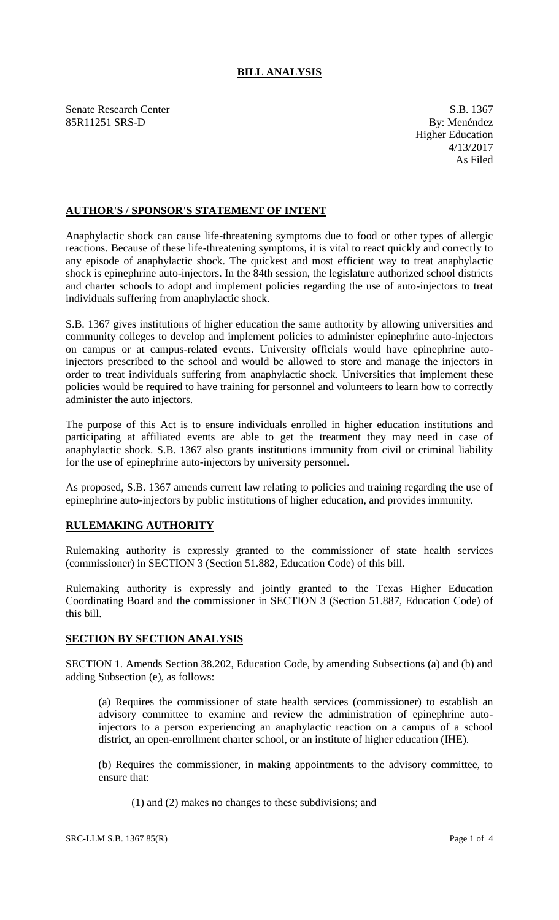## **BILL ANALYSIS**

Senate Research Center S.B. 1367 85R11251 SRS-D By: Menéndez

Higher Education 4/13/2017 As Filed

### **AUTHOR'S / SPONSOR'S STATEMENT OF INTENT**

Anaphylactic shock can cause life-threatening symptoms due to food or other types of allergic reactions. Because of these life-threatening symptoms, it is vital to react quickly and correctly to any episode of anaphylactic shock. The quickest and most efficient way to treat anaphylactic shock is epinephrine auto-injectors. In the 84th session, the legislature authorized school districts and charter schools to adopt and implement policies regarding the use of auto-injectors to treat individuals suffering from anaphylactic shock.

S.B. 1367 gives institutions of higher education the same authority by allowing universities and community colleges to develop and implement policies to administer epinephrine auto-injectors on campus or at campus-related events. University officials would have epinephrine autoinjectors prescribed to the school and would be allowed to store and manage the injectors in order to treat individuals suffering from anaphylactic shock. Universities that implement these policies would be required to have training for personnel and volunteers to learn how to correctly administer the auto injectors.

The purpose of this Act is to ensure individuals enrolled in higher education institutions and participating at affiliated events are able to get the treatment they may need in case of anaphylactic shock. S.B. 1367 also grants institutions immunity from civil or criminal liability for the use of epinephrine auto-injectors by university personnel.

As proposed, S.B. 1367 amends current law relating to policies and training regarding the use of epinephrine auto-injectors by public institutions of higher education, and provides immunity.

# **RULEMAKING AUTHORITY**

Rulemaking authority is expressly granted to the commissioner of state health services (commissioner) in SECTION 3 (Section 51.882, Education Code) of this bill.

Rulemaking authority is expressly and jointly granted to the Texas Higher Education Coordinating Board and the commissioner in SECTION 3 (Section 51.887, Education Code) of this bill.

### **SECTION BY SECTION ANALYSIS**

SECTION 1. Amends Section 38.202, Education Code, by amending Subsections (a) and (b) and adding Subsection (e), as follows:

(a) Requires the commissioner of state health services (commissioner) to establish an advisory committee to examine and review the administration of epinephrine autoinjectors to a person experiencing an anaphylactic reaction on a campus of a school district, an open-enrollment charter school, or an institute of higher education (IHE).

(b) Requires the commissioner, in making appointments to the advisory committee, to ensure that:

(1) and (2) makes no changes to these subdivisions; and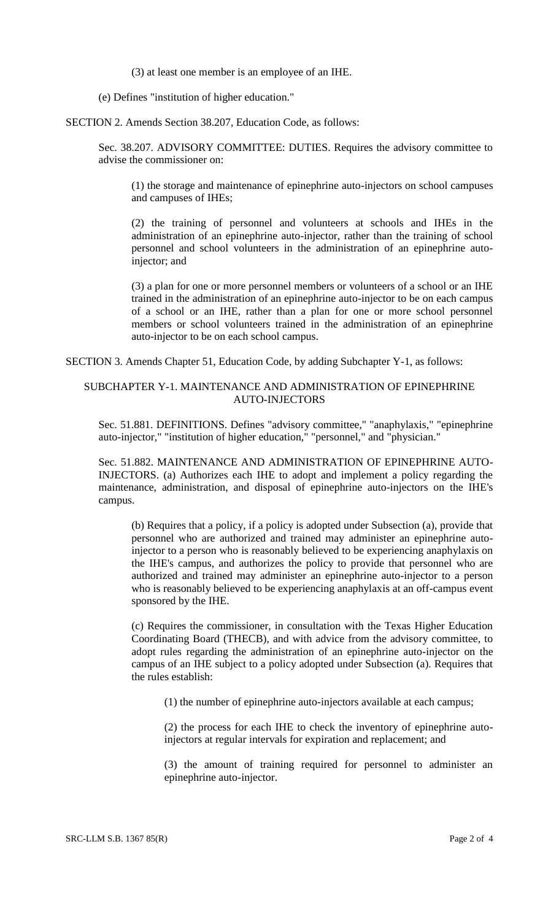(3) at least one member is an employee of an IHE.

(e) Defines "institution of higher education."

SECTION 2. Amends Section 38.207, Education Code, as follows:

Sec. 38.207. ADVISORY COMMITTEE: DUTIES. Requires the advisory committee to advise the commissioner on:

(1) the storage and maintenance of epinephrine auto-injectors on school campuses and campuses of IHEs;

(2) the training of personnel and volunteers at schools and IHEs in the administration of an epinephrine auto-injector, rather than the training of school personnel and school volunteers in the administration of an epinephrine autoinjector; and

(3) a plan for one or more personnel members or volunteers of a school or an IHE trained in the administration of an epinephrine auto-injector to be on each campus of a school or an IHE, rather than a plan for one or more school personnel members or school volunteers trained in the administration of an epinephrine auto-injector to be on each school campus.

SECTION 3. Amends Chapter 51, Education Code, by adding Subchapter Y-1, as follows:

### SUBCHAPTER Y-1. MAINTENANCE AND ADMINISTRATION OF EPINEPHRINE AUTO-INJECTORS

Sec. 51.881. DEFINITIONS. Defines "advisory committee," "anaphylaxis," "epinephrine auto-injector," "institution of higher education," "personnel," and "physician."

Sec. 51.882. MAINTENANCE AND ADMINISTRATION OF EPINEPHRINE AUTO-INJECTORS. (a) Authorizes each IHE to adopt and implement a policy regarding the maintenance, administration, and disposal of epinephrine auto-injectors on the IHE's campus.

(b) Requires that a policy, if a policy is adopted under Subsection (a), provide that personnel who are authorized and trained may administer an epinephrine autoinjector to a person who is reasonably believed to be experiencing anaphylaxis on the IHE's campus, and authorizes the policy to provide that personnel who are authorized and trained may administer an epinephrine auto-injector to a person who is reasonably believed to be experiencing anaphylaxis at an off-campus event sponsored by the IHE.

(c) Requires the commissioner, in consultation with the Texas Higher Education Coordinating Board (THECB), and with advice from the advisory committee, to adopt rules regarding the administration of an epinephrine auto-injector on the campus of an IHE subject to a policy adopted under Subsection (a). Requires that the rules establish:

(1) the number of epinephrine auto-injectors available at each campus;

(2) the process for each IHE to check the inventory of epinephrine autoinjectors at regular intervals for expiration and replacement; and

(3) the amount of training required for personnel to administer an epinephrine auto-injector.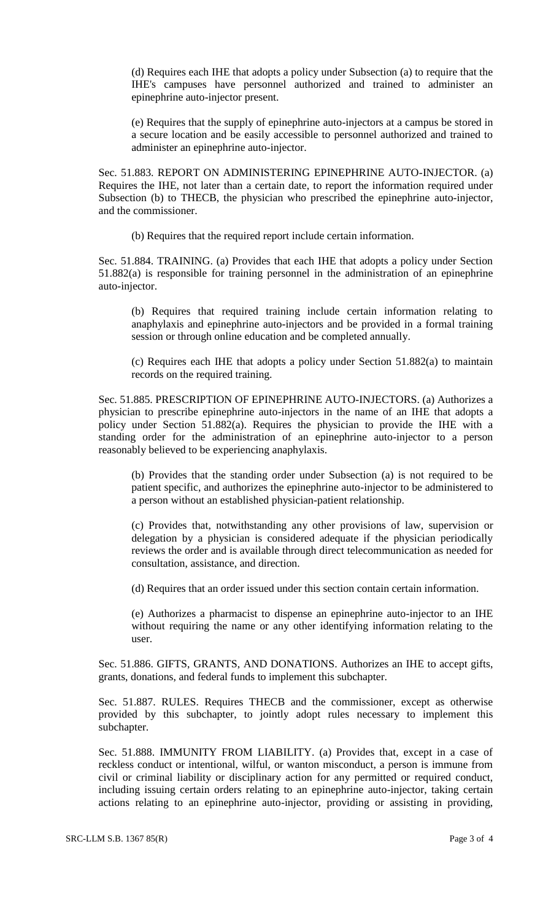(d) Requires each IHE that adopts a policy under Subsection (a) to require that the IHE's campuses have personnel authorized and trained to administer an epinephrine auto-injector present.

(e) Requires that the supply of epinephrine auto-injectors at a campus be stored in a secure location and be easily accessible to personnel authorized and trained to administer an epinephrine auto-injector.

Sec. 51.883. REPORT ON ADMINISTERING EPINEPHRINE AUTO-INJECTOR. (a) Requires the IHE, not later than a certain date, to report the information required under Subsection (b) to THECB, the physician who prescribed the epinephrine auto-injector, and the commissioner.

(b) Requires that the required report include certain information.

Sec. 51.884. TRAINING. (a) Provides that each IHE that adopts a policy under Section 51.882(a) is responsible for training personnel in the administration of an epinephrine auto-injector.

(b) Requires that required training include certain information relating to anaphylaxis and epinephrine auto-injectors and be provided in a formal training session or through online education and be completed annually.

(c) Requires each IHE that adopts a policy under Section 51.882(a) to maintain records on the required training.

Sec. 51.885. PRESCRIPTION OF EPINEPHRINE AUTO-INJECTORS. (a) Authorizes a physician to prescribe epinephrine auto-injectors in the name of an IHE that adopts a policy under Section 51.882(a). Requires the physician to provide the IHE with a standing order for the administration of an epinephrine auto-injector to a person reasonably believed to be experiencing anaphylaxis.

(b) Provides that the standing order under Subsection (a) is not required to be patient specific, and authorizes the epinephrine auto-injector to be administered to a person without an established physician-patient relationship.

(c) Provides that, notwithstanding any other provisions of law, supervision or delegation by a physician is considered adequate if the physician periodically reviews the order and is available through direct telecommunication as needed for consultation, assistance, and direction.

(d) Requires that an order issued under this section contain certain information.

(e) Authorizes a pharmacist to dispense an epinephrine auto-injector to an IHE without requiring the name or any other identifying information relating to the user.

Sec. 51.886. GIFTS, GRANTS, AND DONATIONS. Authorizes an IHE to accept gifts, grants, donations, and federal funds to implement this subchapter.

Sec. 51.887. RULES. Requires THECB and the commissioner, except as otherwise provided by this subchapter, to jointly adopt rules necessary to implement this subchapter.

Sec. 51.888. IMMUNITY FROM LIABILITY. (a) Provides that, except in a case of reckless conduct or intentional, wilful, or wanton misconduct, a person is immune from civil or criminal liability or disciplinary action for any permitted or required conduct, including issuing certain orders relating to an epinephrine auto-injector, taking certain actions relating to an epinephrine auto-injector, providing or assisting in providing,